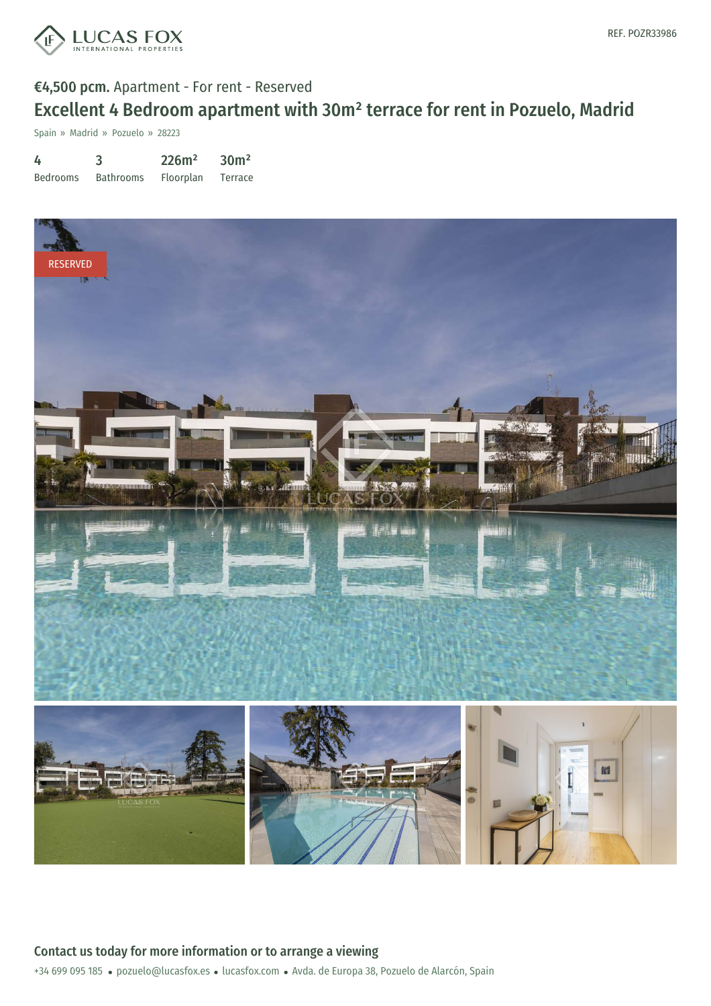

Spain » Madrid » Pozuelo » 28223

| 4               | 3                | 226m <sup>2</sup> | 30 <sup>m²</sup> |
|-----------------|------------------|-------------------|------------------|
| <b>Bedrooms</b> | <b>Bathrooms</b> | Floorplan         | Terrace          |



+34 699 095 185 · pozuelo@lucasfox.es · lucasfox.com · Avda. de Europa 38, Pozuelo de Alarcón, Spain Contact us today for more information or to arrange a viewing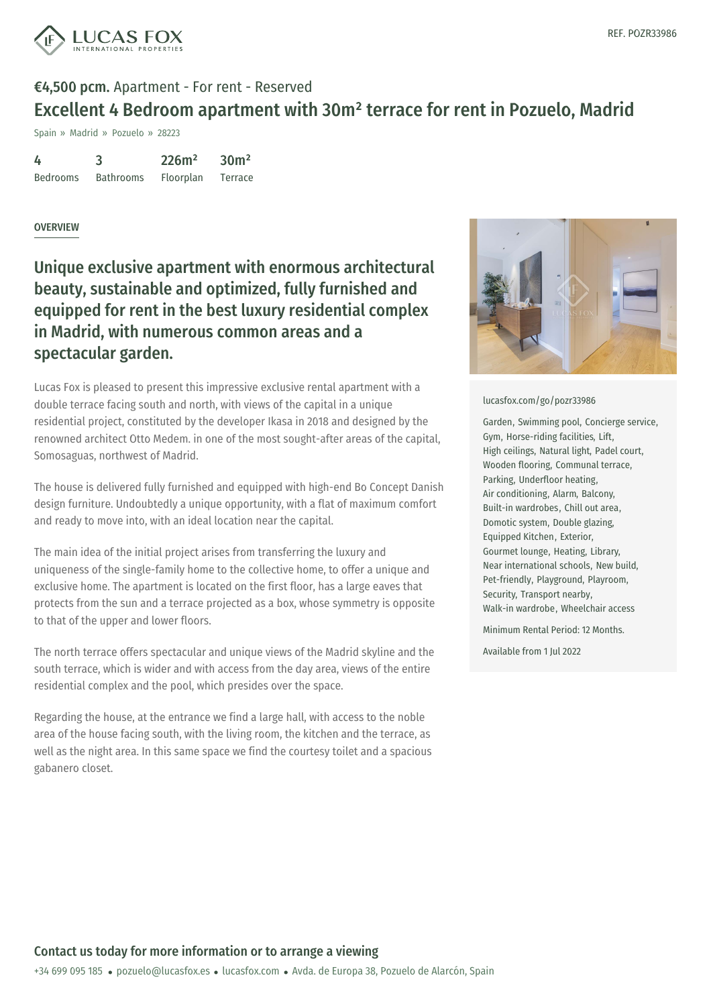

Spain » Madrid » Pozuelo » 28223

| 4               | 3                | 226m <sup>2</sup> | 30 <sup>m²</sup> |
|-----------------|------------------|-------------------|------------------|
| <b>Bedrooms</b> | <b>Bathrooms</b> | Floorplan         | Terrace          |

### **OVERVIEW**

Unique exclusive apartment with enormous architectural beauty, sustainable and optimized, fully furnished and equipped for rent in the best luxury residential complex in Madrid, with numerous common areas and a spectacular garden.

Lucas Fox is pleased to present this impressive exclusive rental apartment with a double terrace facing south and north, with views of the capital in a unique residential project, constituted by the developer Ikasa in 2018 and designed by the renowned architect Otto Medem. in one of the most sought-after areas of the capital, Somosaguas, northwest of Madrid.

The house is delivered fully furnished and equipped with high-end Bo Concept Danish design furniture. Undoubtedly a unique opportunity, with a flat of maximum comfort and ready to move into, with an ideal location near the capital.

The main idea of the initial project arises from transferring the luxury and uniqueness of the single-family home to the collective home, to offer a unique and exclusive home. The apartment is located on the first floor, has a large eaves that protects from the sun and a terrace projected as a box, whose symmetry is opposite to that of the upper and lower floors.

The north terrace offers spectacular and unique views of the Madrid skyline and the south terrace, which is wider and with access from the day area, views of the entire residential complex and the pool, which presides over the space.

Regarding the house, at the entrance we find a large hall, with access to the noble area of the house facing south, with the living room, the kitchen and the terrace, as well as the night area. In this [same](mailto:pozuelo@lucasfox.es) space we [find](https://www.lucasfox.com) the courtesy toilet and a spacious gabanero closet.



#### [lucasfox.com/go/pozr33986](https://www.lucasfox.com/go/pozr33986)

Garden, Swimming pool, Concierge service, Gym, Horse-riding facilities, Lift, High ceilings, Natural light, Padel court, Wooden flooring, Communal terrace, Parking, Underfloor heating, Air conditioning, Alarm, Balcony, Built-in wardrobes, Chill out area, Domotic system, Double glazing, Equipped Kitchen, Exterior, Gourmet lounge, Heating, Library, Near international schools, New build, Pet-friendly, Playground, Playroom, Security, Transport nearby, Walk-in wardrobe, Wheelchair access

Minimum Rental Period: 12 Months.

Available from 1 Jul 2022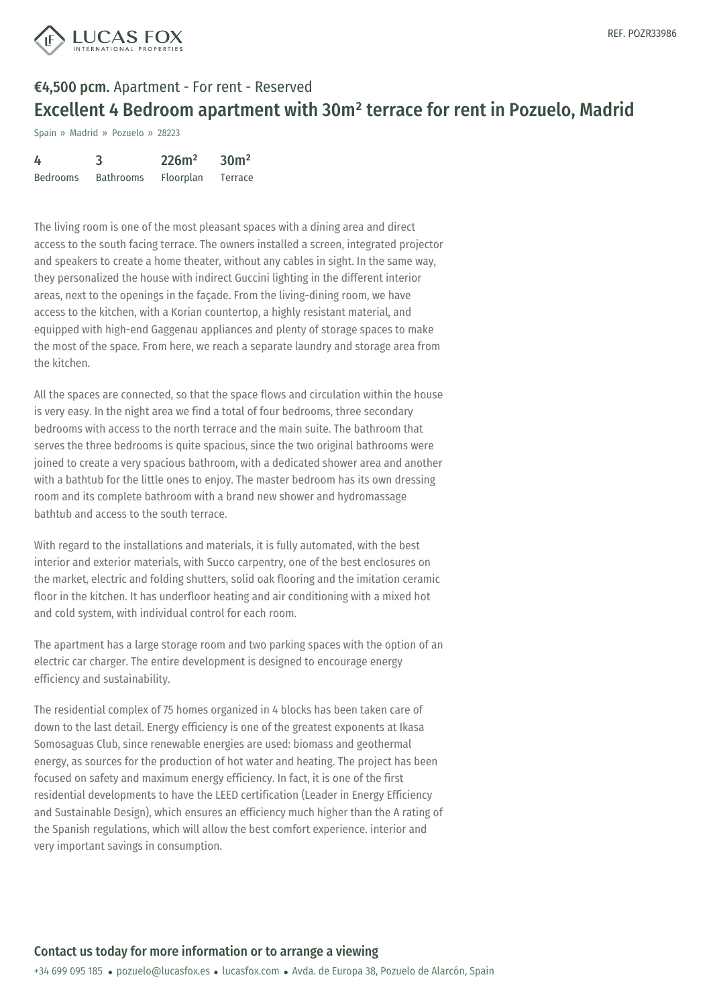

Spain » Madrid » Pozuelo » 28223

| 4               | 3                | 226m <sup>2</sup> | 30 <sup>m²</sup> |
|-----------------|------------------|-------------------|------------------|
| <b>Bedrooms</b> | <b>Bathrooms</b> | Floorplan         | Terrace          |

The living room is one of the most pleasant spaces with a dining area and direct access to the south facing terrace. The owners installed a screen, integrated projector and speakers to create a home theater, without any cables in sight. In the same way, they personalized the house with indirect Guccini lighting in the different interior areas, next to the openings in the façade. From the living-dining room, we have access to the kitchen, with a Korian countertop, a highly resistant material, and equipped with high-end Gaggenau appliances and plenty of storage spaces to make the most of the space. From here, we reach a separate laundry and storage area from the kitchen.

All the spaces are connected, so that the space flows and circulation within the house is very easy. In the night area we find a total of four bedrooms, three secondary bedrooms with access to the north terrace and the main suite. The bathroom that serves the three bedrooms is quite spacious, since the two original bathrooms were joined to create a very spacious bathroom, with a dedicated shower area and another with a bathtub for the little ones to enjoy. The master bedroom has its own dressing room and its complete bathroom with a brand new shower and hydromassage bathtub and access to the south terrace.

With regard to the installations and materials, it is fully automated, with the best interior and exterior materials, with Succo carpentry, one of the best enclosures on the market, electric and folding shutters, solid oak flooring and the imitation ceramic floor in the kitchen. It has underfloor heating and air conditioning with a mixed hot and cold system, with individual control for each room.

The apartment has a large storage room and two parking spaces with the option of an electric car charger. The entire development is designed to encourage energy efficiency and sustainability.

The residential complex of 75 homes organized in 4 blocks has been taken care of down to the last detail. Energy efficiency is one of the greatest exponents at Ikasa Somosaguas Club, since [renewable](mailto:pozuelo@lucasfox.es) ene[rgies](https://www.lucasfox.com) are used: biomass and geothermal energy, as sources for the production of hot water and heating. The project has been focused on safety and maximum energy efficiency. In fact, it is one of the first residential developments to have the LEED certification (Leader in Energy Efficiency and Sustainable Design), which ensures an efficiency much higher than the A rating of the Spanish regulations, which will allow the best comfort experience. interior and very important savings in consumption.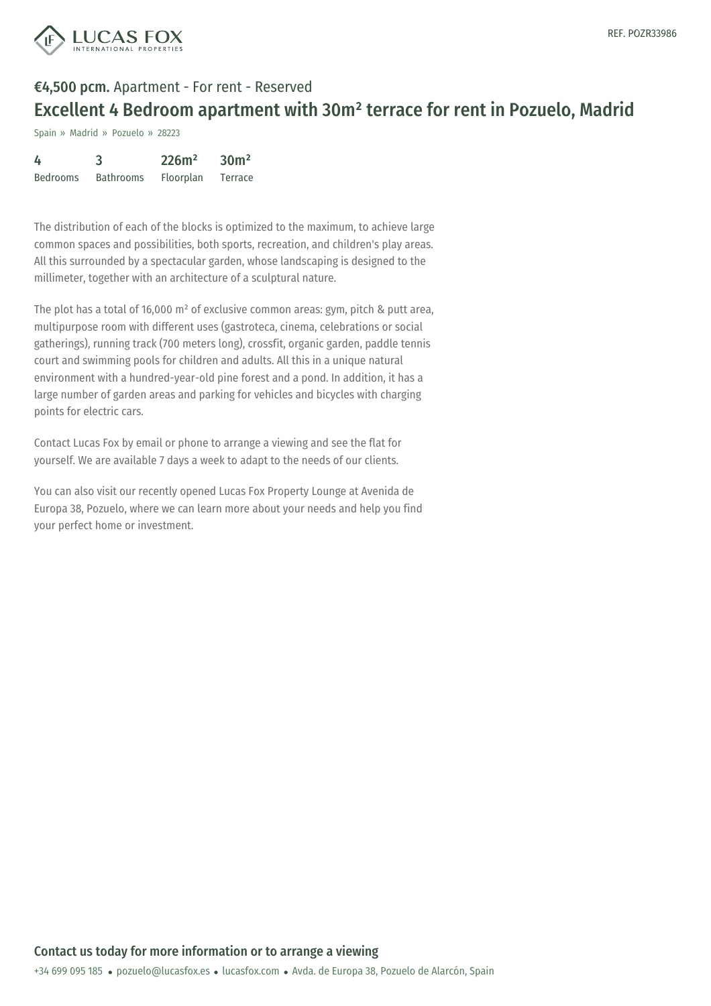

Spain » Madrid » Pozuelo » 28223

| 4               | 3                | 226m <sup>2</sup> | 30 <sup>m²</sup> |
|-----------------|------------------|-------------------|------------------|
| <b>Bedrooms</b> | <b>Bathrooms</b> | <b>Floorplan</b>  | Terrace          |

The distribution of each of the blocks is optimized to the maximum, to achieve large common spaces and possibilities, both sports, recreation, and children's play areas. All this surrounded by a spectacular garden, whose landscaping is designed to the millimeter, together with an architecture of a sculptural nature.

The plot has a total of 16,000 m² of exclusive common areas: gym, pitch & putt area, multipurpose room with different uses (gastroteca, cinema, celebrations or social gatherings), running track (700 meters long), crossfit, organic garden, paddle tennis court and swimming pools for children and adults. All this in a unique natural environment with a hundred-year-old pine forest and a pond. In addition, it has a large number of garden areas and parking for vehicles and bicycles with charging points for electric cars.

Contact Lucas Fox by email or phone to arrange a viewing and see the flat for yourself. We are available 7 days a week to adapt to the needs of our clients.

You can also visit our recently opened Lucas Fox Property Lounge at Avenida de Europa 38, Pozuelo, where we can learn more about your needs and help you find your perfect home or investment.